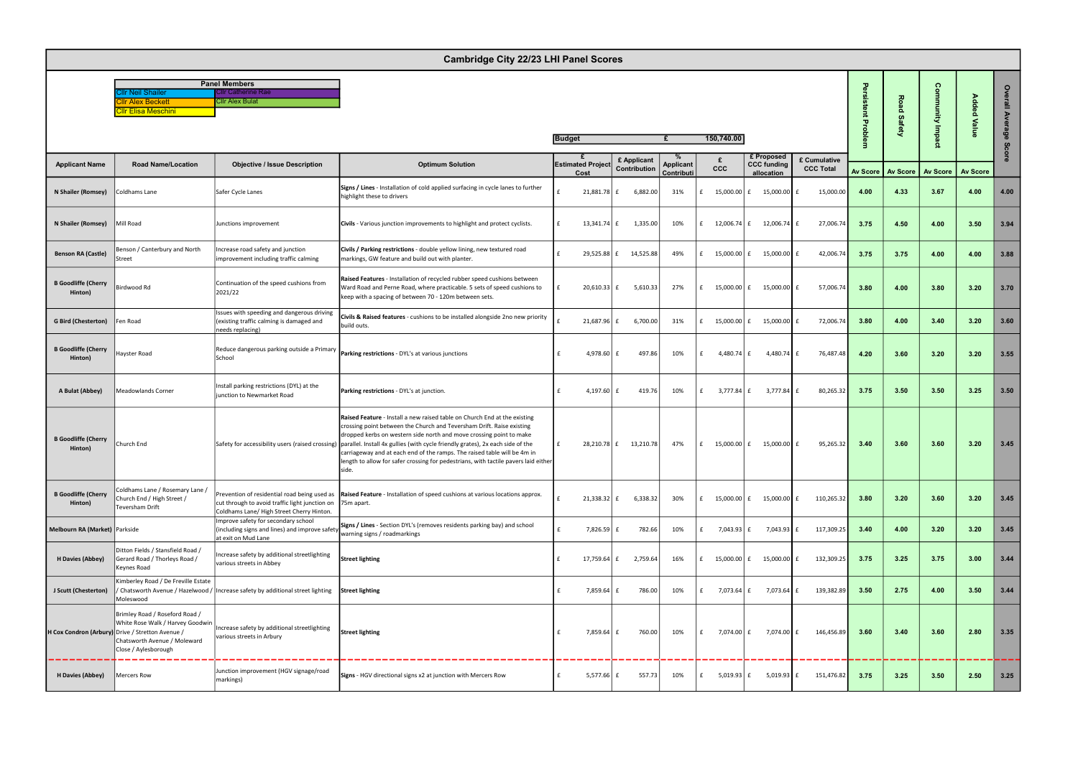| <b>Panel Members</b>       |                            |  |  |  |  |  |  |  |  |  |
|----------------------------|----------------------------|--|--|--|--|--|--|--|--|--|
| <b>Cllr Neil Shailer</b>   | <b>ICIIr Catherine Rae</b> |  |  |  |  |  |  |  |  |  |
| <b>Cllr Alex Beckett</b>   | <b>ICIIr Alex Bulat</b>    |  |  |  |  |  |  |  |  |  |
| <b>CIIr Elisa Meschini</b> |                            |  |  |  |  |  |  |  |  |  |

|                                       | <b>Cambridge City 22/23 LHI Panel Scores</b>                                                                                                                                   |                                                                                                              |                                                                                                                                                                                                                                                                                                                                                                                                                                                                                                                                          |                         |                    |                             |                                |   |             |                                                |                                  |          |                         |                 |                       |              |
|---------------------------------------|--------------------------------------------------------------------------------------------------------------------------------------------------------------------------------|--------------------------------------------------------------------------------------------------------------|------------------------------------------------------------------------------------------------------------------------------------------------------------------------------------------------------------------------------------------------------------------------------------------------------------------------------------------------------------------------------------------------------------------------------------------------------------------------------------------------------------------------------------------|-------------------------|--------------------|-----------------------------|--------------------------------|---|-------------|------------------------------------------------|----------------------------------|----------|-------------------------|-----------------|-----------------------|--------------|
|                                       | Ir Neil Shailer<br>llr Alex Beckett<br>IIr Elisa Meschini                                                                                                                      | <b>Panel Members</b><br>Ilr Catherine Rae<br><b>Cllr Alex Bulat</b>                                          |                                                                                                                                                                                                                                                                                                                                                                                                                                                                                                                                          |                         |                    |                             |                                |   |             |                                                |                                  |          | 공<br>ŏ<br><b>Safety</b> | ດ<br>Aiun       | 윤<br><b>B</b><br>Valu | $\circ$<br>흴 |
|                                       |                                                                                                                                                                                |                                                                                                              |                                                                                                                                                                                                                                                                                                                                                                                                                                                                                                                                          | <b>Budget</b>           |                    |                             |                                |   | 150,740.00  |                                                |                                  |          |                         |                 |                       | rage<br>Sc   |
| <b>Applicant Name</b>                 | <b>Road Name/Location</b>                                                                                                                                                      | <b>Objective / Issue Description</b>                                                                         | <b>Optimum Solution</b>                                                                                                                                                                                                                                                                                                                                                                                                                                                                                                                  | <b>Estimated Projec</b> | Cost               | £ Applicant<br>Contribution | <b>Applicant</b><br>Contributi |   | <b>CCC</b>  | £ Proposed<br><b>CCC funding</b><br>allocation | £ Cumulative<br><b>CCC Total</b> | Av Score | <b>Av Score</b>         | <b>Av Score</b> | <b>Av Score</b>       |              |
| N Shailer (Romsey)                    | Coldhams Lane                                                                                                                                                                  | Safer Cycle Lanes                                                                                            | Signs / Lines - Installation of cold applied surfacing in cycle lanes to further<br>highlight these to drivers                                                                                                                                                                                                                                                                                                                                                                                                                           |                         | $21,881.78$ f      | 6,882.00                    | 31%                            |   | 15,000.00   | 15,000.00                                      | 15,000.00                        | 4.00     | 4.33                    | 3.67            | 4.00                  | 4.00         |
| N Shailer (Romsey)                    | Mill Road                                                                                                                                                                      | Junctions improvement                                                                                        | Civils - Various junction improvements to highlight and protect cyclists.                                                                                                                                                                                                                                                                                                                                                                                                                                                                | £                       | $13,341.74$ f      | 1,335.00                    | 10%                            |   | 12,006.74 £ | 12,006.74                                      | 27,006.74                        | 3.75     | 4.50                    | 4.00            | 3.50                  | 3.94         |
| <b>Benson RA (Castle)</b>             | Benson / Canterbury and North<br>Street                                                                                                                                        | Increase road safety and junction<br>improvement including traffic calming                                   | Civils / Parking restrictions - double yellow lining, new textured road<br>markings, GW feature and build out with planter.                                                                                                                                                                                                                                                                                                                                                                                                              | £                       | 29,525.88 £        | 14,525.88                   | 49%                            |   | 15,000.00 £ | 15,000.00                                      | 42,006.74                        | 3.75     | 3.75                    | 4.00            | 4.00                  | 3.88         |
| <b>B Goodliffe (Cherry</b><br>Hinton) | Birdwood Rd                                                                                                                                                                    | Continuation of the speed cushions from<br>2021/22                                                           | Raised Features - Installation of recycled rubber speed cushions between<br>Ward Road and Perne Road, where practicable. 5 sets of speed cushions to<br>keep with a spacing of between 70 - 120m between sets.                                                                                                                                                                                                                                                                                                                           |                         | $20,610.33$ £      | 5,610.33                    | 27%                            |   | 15,000.00 £ | 15,000.00                                      | 57,006.74                        | 3.80     | 4.00                    | 3.80            | 3.20                  | 3.70         |
| <b>G Bird (Chesterton)</b>            | Fen Road                                                                                                                                                                       | Issues with speeding and dangerous driving<br>(existing traffic calming is damaged and<br>needs replacing)   | Civils & Raised features - cushions to be installed alongside 2no new priority<br>build outs.                                                                                                                                                                                                                                                                                                                                                                                                                                            |                         | 21,687.96 £        | 6,700.00                    | 31%                            |   | 15,000.00 £ | 15,000.00                                      | 72,006.74                        | 3.80     | 4.00                    | 3.40            | 3.20                  | 3.60         |
| <b>B</b> Goodliffe (Cherry<br>Hinton) | Hayster Road                                                                                                                                                                   | Reduce dangerous parking outside a Primary<br>School                                                         | Parking restrictions - DYL's at various junctions                                                                                                                                                                                                                                                                                                                                                                                                                                                                                        | $\mathbf{f}$            | 4,978.60 $E$       | 497.86                      | 10%                            | £ | 4,480.74 £  | 4,480.74                                       | 76,487.48                        | 4.20     | 3.60                    | 3.20            | 3.20                  | 3.55         |
| A Bulat (Abbey)                       | <b>Meadowlands Corner</b>                                                                                                                                                      | Install parking restrictions (DYL) at the<br>junction to Newmarket Road                                      | Parking restrictions - DYL's at junction.                                                                                                                                                                                                                                                                                                                                                                                                                                                                                                | £                       | 4,197.60 $E$       | 419.76                      | 10%                            |   | 3,777.84 £  | 3,777.84                                       | 80,265.32                        | 3.75     | 3.50                    | 3.50            | 3.25                  | 3.50         |
| <b>B</b> Goodliffe (Cherry<br>Hinton) | Church End                                                                                                                                                                     |                                                                                                              | Raised Feature - Install a new raised table on Church End at the existing<br>crossing point between the Church and Teversham Drift. Raise existing<br>dropped kerbs on western side north and move crossing point to make<br>Safety for accessibility users (raised crossing) parallel. Install 4x gullies (with cycle friendly grates), 2x each side of the<br>carriageway and at each end of the ramps. The raised table will be 4m in<br>length to allow for safer crossing for pedestrians, with tactile pavers laid either<br>side. |                         | 28,210.78 £        | 13,210.78                   | 47%                            | £ | 15,000.00 £ | 15,000.00                                      | 95,265.32                        | 3.40     | 3.60                    | 3.60            | 3.20                  | 3.45         |
| <b>B Goodliffe (Cherry</b><br>Hinton) | Coldhams Lane / Rosemary Lane /<br>Church End / High Street /<br>Teversham Drift                                                                                               | cut through to avoid traffic light junction on<br>Coldhams Lane/ High Street Cherry Hinton.                  | Prevention of residential road being used as <b>Raised Feature</b> - Installation of speed cushions at various locations approx.<br>75m apart.                                                                                                                                                                                                                                                                                                                                                                                           |                         | $21,338.32 \mid f$ | 6,338.32                    | 30%                            |   | 15,000.00 E | 15,000.00                                      | 110,265.32                       | 3.80     | 3.20                    | 3.60            | 3.20                  | 3.45         |
| Melbourn RA (Market) Parkside         |                                                                                                                                                                                | Improve safety for secondary school<br>(including signs and lines) and improve safety<br>at exit on Mud Lane | Signs / Lines - Section DYL's (removes residents parking bay) and school<br>warning signs / roadmarkings                                                                                                                                                                                                                                                                                                                                                                                                                                 |                         | 7,826.59 £         | 782.66                      | 10%                            |   | 7,043.93 £  | 7,043.93                                       | 117,309.25                       | 3.40     | 4.00                    | 3.20            | 3.20                  | 3.45         |
| H Davies (Abbey)                      | Ditton Fields / Stansfield Road /<br>Gerard Road / Thorleys Road /<br>Keynes Road                                                                                              | Increase safety by additional streetlighting<br>various streets in Abbey                                     | <b>Street lighting</b>                                                                                                                                                                                                                                                                                                                                                                                                                                                                                                                   | £                       | 17,759.64 £        | 2,759.64                    | 16%                            |   | 15,000.00 E | 15,000.00                                      | 132,309.25                       | 3.75     | 3.25                    | 3.75            | 3.00                  | 3.44         |
| J Scutt (Chesterton)                  | Kimberley Road / De Freville Estate<br>Moleswood                                                                                                                               | / Chatsworth Avenue / Hazelwood / Increase safety by additional street lighting                              | <b>Street lighting</b>                                                                                                                                                                                                                                                                                                                                                                                                                                                                                                                   |                         | 7,859.64 £         | 786.00                      | 10%                            |   | 7,073.64 £  | 7,073.64                                       | 139,382.89                       | 3.50     | 2.75                    | 4.00            | 3.50                  | 3.44         |
|                                       | Brimley Road / Roseford Road /<br>White Rose Walk / Harvey Goodwin<br>H Cox Condron (Arbury) Drive / Stretton Avenue /<br>Chatsworth Avenue / Moleward<br>Close / Aylesborough | Increase safety by additional streetlighting<br>various streets in Arbury                                    | <b>Street lighting</b>                                                                                                                                                                                                                                                                                                                                                                                                                                                                                                                   |                         | 7,859.64 £         | 760.00                      | 10%                            |   | 7,074.00 £  | 7,074.00 f                                     | 146,456.89                       | 3.60     | 3.40                    | 3.60            | 2.80                  | 3.35         |
| <b>H Davies (Abbey)</b>               | Mercers Row                                                                                                                                                                    | Junction improvement (HGV signage/road<br>markings)                                                          | Signs - HGV directional signs x2 at junction with Mercers Row                                                                                                                                                                                                                                                                                                                                                                                                                                                                            | £                       | 5,577.66 $\pm$     | 557.73                      | 10%                            | £ | 5,019.93 £  | $5,019.93$ $f$                                 | 151,476.82                       | 3.75     | 3.25                    | 3.50            | 2.50                  | 3.25         |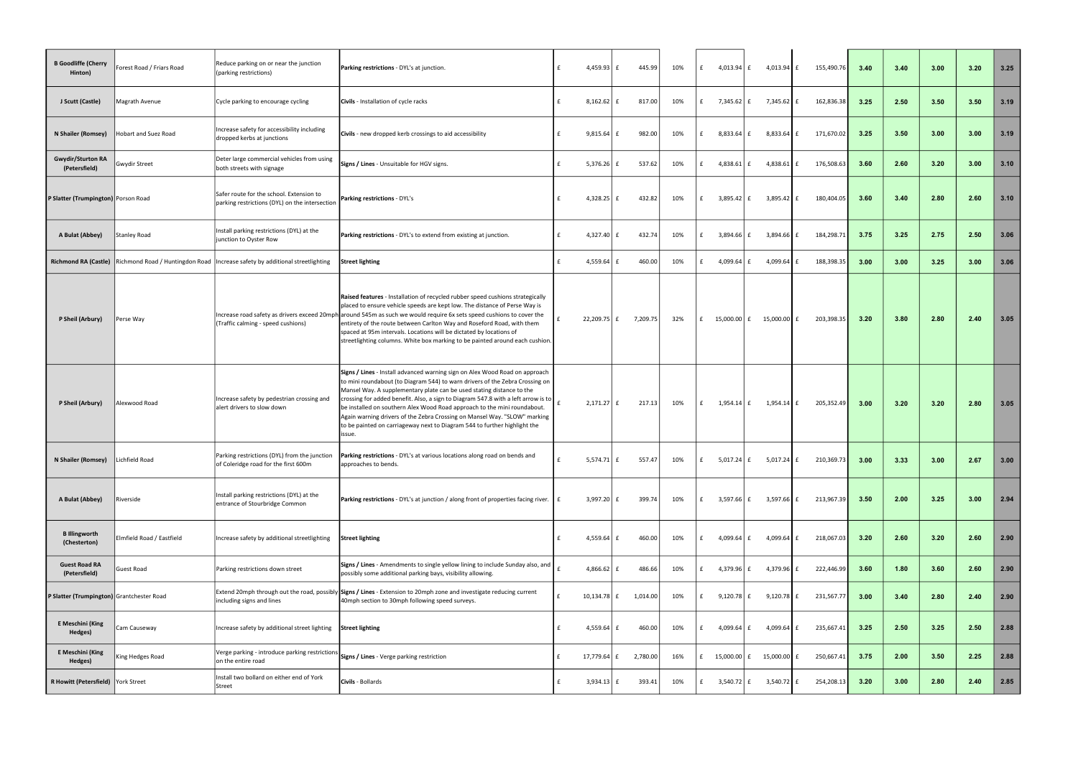| <b>B</b> Goodliffe (Cherry<br>Hinton)     | Forest Road / Friars Road                            | Reduce parking on or near the junction<br>(parking restrictions)                           | Parking restrictions - DYL's at junction.                                                                                                                                                                                                                                                                                                                                                                                                                                                                                                                                 | f | 4,459.93 $E$       | 445.99   | 10% | £ | 4,013.94 £            |   | 4,013.94 $\vert$ £ | 155,490.76       | 3.40 | 3.40 | 3.00 | 3.20 | 3.25 |
|-------------------------------------------|------------------------------------------------------|--------------------------------------------------------------------------------------------|---------------------------------------------------------------------------------------------------------------------------------------------------------------------------------------------------------------------------------------------------------------------------------------------------------------------------------------------------------------------------------------------------------------------------------------------------------------------------------------------------------------------------------------------------------------------------|---|--------------------|----------|-----|---|-----------------------|---|--------------------|------------------|------|------|------|------|------|
| J Scutt (Castle)                          | Magrath Avenue                                       | Cycle parking to encourage cycling                                                         | Civils - Installation of cycle racks                                                                                                                                                                                                                                                                                                                                                                                                                                                                                                                                      | £ | $8,162.62$ £       | 817.00   | 10% | £ | 7,345.62 E            |   | 7,345.62 f         | 162,836.38       | 3.25 | 2.50 | 3.50 | 3.50 | 3.19 |
| N Shailer (Romsey)                        | Hobart and Suez Road                                 | Increase safety for accessibility including<br>dropped kerbs at junctions                  | Civils - new dropped kerb crossings to aid accessibility                                                                                                                                                                                                                                                                                                                                                                                                                                                                                                                  | £ | $9,815.64$ £       | 982.00   | 10% | £ | 8,833.64 £            |   | $8,833.64$ £       | 171,670.02       | 3.25 | 3.50 | 3.00 | 3.00 | 3.19 |
| <b>Gwydir/Sturton RA</b><br>(Petersfield) | <b>Gwydir Street</b>                                 | Deter large commercial vehicles from using<br>both streets with signage                    | Signs / Lines - Unsuitable for HGV signs.                                                                                                                                                                                                                                                                                                                                                                                                                                                                                                                                 |   | 5,376.26 $\pm$     | 537.62   | 10% | £ | 4,838.61 $\vert$ £    |   | 4,838.61           | 176,508.63<br>Ι£ | 3.60 | 2.60 | 3.20 | 3.00 | 3.10 |
| P Slatter (Trumpington) Porson Road       |                                                      | Safer route for the school. Extension to<br>parking restrictions (DYL) on the intersection | <b>Parking restrictions - DYL's</b>                                                                                                                                                                                                                                                                                                                                                                                                                                                                                                                                       |   | 4,328.25 $\vert$ £ | 432.82   | 10% | f | 3,895.42 £            |   | $3,895.42 \mid f$  | 180,404.05       | 3.60 | 3.40 | 2.80 | 2.60 | 3.10 |
| A Bulat (Abbey)                           | <b>Stanley Road</b>                                  | Install parking restrictions (DYL) at the<br>junction to Oyster Row                        | Parking restrictions - DYL's to extend from existing at junction.                                                                                                                                                                                                                                                                                                                                                                                                                                                                                                         | £ | 4,327.40 $E$       | 432.74   | 10% | f | 3,894.66              | £ | 3,894.66           | 184,298.71       | 3.75 | 3.25 | 2.75 | 2.50 | 3.06 |
|                                           | Richmond RA (Castle) Richmond Road / Huntingdon Road | Increase safety by additional streetlighting                                               | <b>Street lighting</b>                                                                                                                                                                                                                                                                                                                                                                                                                                                                                                                                                    | £ | 4,559.64 $\vert$ £ | 460.00   | 10% | f | 4,099.64 $\vert$ £    |   | 4,099.64           | 188,398.35       | 3.00 | 3.00 | 3.25 | 3.00 | 3.06 |
| P Sheil (Arbury)                          | Perse Way                                            | (Traffic calming - speed cushions)                                                         | Raised features - Installation of recycled rubber speed cushions strategically<br>placed to ensure vehicle speeds are kept low. The distance of Perse Way is<br>Increase road safety as drivers exceed 20mph around 545m as such we would require 6x sets speed cushions to cover the<br>entirety of the route between Carlton Way and Roseford Road, with them<br>spaced at 95m intervals. Locations will be dictated by locations of<br>streetlighting columns. White box marking to be painted around each cushion.                                                    |   | 22,209.75 £        | 7,209.75 | 32% | f | 15,000.00 £           |   | 15,000.00 £        | 203,398.35       | 3.20 | 3.80 | 2.80 | 2.40 | 3.05 |
| P Sheil (Arbury)                          | Alexwood Road                                        | Increase safety by pedestrian crossing and<br>alert drivers to slow down                   | Signs / Lines - Install advanced warning sign on Alex Wood Road on approach<br>to mini roundabout (to Diagram 544) to warn drivers of the Zebra Crossing on<br>Mansel Way. A supplementary plate can be used stating distance to the<br>crossing for added benefit. Also, a sign to Diagram 547.8 with a left arrow is to<br>be installed on southern Alex Wood Road approach to the mini roundabout.<br>Again warning drivers of the Zebra Crossing on Mansel Way. "SLOW" marking<br>to be painted on carriageway next to Diagram 544 to further highlight the<br>issue. |   | $2,171.27$ £       | 217.13   | 10% | £ | $1,954.14 \mid f$     |   | $1,954.14$ f       | 205,352.49       | 3.00 | 3.20 | 3.20 | 2.80 | 3.05 |
| N Shailer (Romsey)                        | Lichfield Road                                       | Parking restrictions (DYL) from the junction<br>of Coleridge road for the first 600m       | Parking restrictions - DYL's at various locations along road on bends and<br>approaches to bends.                                                                                                                                                                                                                                                                                                                                                                                                                                                                         | £ | 5,574.71 $\vert$ £ | 557.47   | 10% |   | 5,017.24 $\vert$ £    |   | $5,017.24$ £       | 210,369.73       | 3.00 | 3.33 | 3.00 | 2.67 | 3.00 |
| A Bulat (Abbey)                           | Riverside                                            | Install parking restrictions (DYL) at the<br>entrance of Stourbridge Common                | <b>Parking restrictions</b> - DYL's at junction / along front of properties facing river.                                                                                                                                                                                                                                                                                                                                                                                                                                                                                 |   | 3,997.20 $\vert$ £ | 399.74   | 10% | £ | 3,597.66 £            |   | $3,597.66 \mid f$  | 213,967.39       | 3.50 | 2.00 | 3.25 | 3.00 | 2.94 |
| <b>B</b> Illingworth<br>(Chesterton)      | Elmfield Road / Eastfield                            | Increase safety by additional streetlighting                                               | <b>Street lighting</b>                                                                                                                                                                                                                                                                                                                                                                                                                                                                                                                                                    |   | 4,559.64 $\vert$ £ | 460.00   | 10% | £ | 4,099.64 £            |   | 4,099.64 $\vert$ £ | 218,067.03       | 3.20 | 2.60 | 3.20 | 2.60 | 2.90 |
| <b>Guest Road RA</b><br>(Petersfield)     | Guest Road                                           | Parking restrictions down street                                                           | Signs / Lines - Amendments to single yellow lining to include Sunday also, and<br>possibly some additional parking bays, visibility allowing.                                                                                                                                                                                                                                                                                                                                                                                                                             |   | 4,866.62 $\pm$     | 486.66   | 10% | £ | 4,379.96 £            |   | 4,379.96 £         | 222,446.99       | 3.60 | 1.80 | 3.60 | 2.60 | 2.90 |
| P Slatter (Trumpington) Grantchester Road |                                                      | Extend 20mph through out the road, possibly<br>including signs and lines                   | Signs / Lines - Extension to 20mph zone and investigate reducing current<br>40mph section to 30mph following speed surveys.                                                                                                                                                                                                                                                                                                                                                                                                                                               |   | 10,134.78 £        | 1,014.00 | 10% | £ | $9,120.78$ £          |   | $9,120.78$ £       | 231,567.77       | 3.00 | 3.40 | 2.80 | 2.40 | 2.90 |
| E Meschini (King<br>Hedges)               | Cam Causeway                                         | Increase safety by additional street lighting                                              | <b>Street lighting</b>                                                                                                                                                                                                                                                                                                                                                                                                                                                                                                                                                    | £ | 4,559.64 $\vert$ £ | 460.00   | 10% | £ | 4,099.64 £            |   | 4,099.64 $\vert$ £ | 235,667.41       | 3.25 | 2.50 | 3.25 | 2.50 | 2.88 |
| E Meschini (King<br>Hedges)               | King Hedges Road                                     | Verge parking - introduce parking restriction:<br>on the entire road                       | Signs / Lines - Verge parking restriction                                                                                                                                                                                                                                                                                                                                                                                                                                                                                                                                 | £ | 17,779.64 £        | 2,780.00 | 16% | £ | 15,000.00 £ 15,000.00 |   |                    | 250,667.41       | 3.75 | 2.00 | 3.50 | 2.25 | 2.88 |
| R Howitt (Petersfield) York Street        |                                                      | Install two bollard on either end of York<br><b>Street</b>                                 | Civils - Bollards                                                                                                                                                                                                                                                                                                                                                                                                                                                                                                                                                         | £ | $3,934.13 \mid f$  | 393.41   | 10% | £ | 3,540.72 £            |   | $3,540.72$ £       | 254,208.13       | 3.20 | 3.00 | 2.80 | 2.40 | 2.85 |